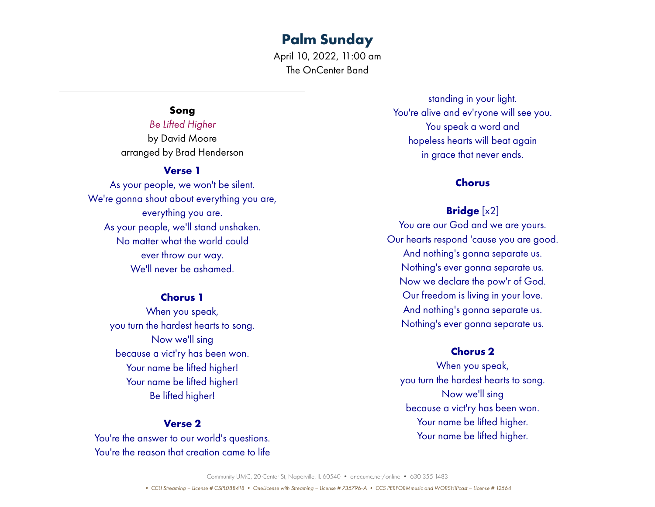April 10, 2022, 11:00 am The OnCenter Band

# **Song**

*Be Lifted Higher* by David Moore arranged by Brad Henderson

### **Verse 1**

As your people, we won't be silent. We're gonna shout about everything you are, everything you are. As your people, we'll stand unshaken. No matter what the world could ever throw our way. We'll never be ashamed.

### **Chorus 1**

When you speak, you turn the hardest hearts to song. Now we'll sing because a vict'ry has been won. Your name be lifted higher! Your name be lifted higher! Be lifted higher!

### **Verse 2**

You're the answer to our world's questions. You're the reason that creation came to life

standing in your light. You're alive and ev'ryone will see you. You speak a word and hopeless hearts will beat again in grace that never ends.

### **Chorus**

### **Bridge** [x2]

You are our God and we are yours. Our hearts respond 'cause you are good. And nothing's gonna separate us. Nothing's ever gonna separate us. Now we declare the pow'r of God. Our freedom is living in your love. And nothing's gonna separate us. Nothing's ever gonna separate us.

### **Chorus 2**

When you speak, you turn the hardest hearts to song. Now we'll sing because a vict'ry has been won. Your name be lifted higher. Your name be lifted higher.

Community UMC, 20 Center St, Naperville, IL 60540 • onecumc.net/online • 630 355 1483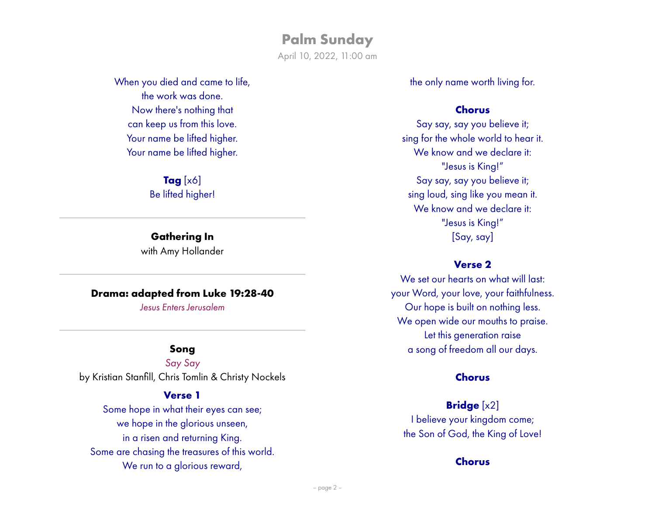# **Palm Sunday** April 10, 2022, 11:00 am

When you died and came to life, the work was done. Now there's nothing that can keep us from this love. Your name be lifted higher. Your name be lifted higher.

> **Tag** [x6] Be lifted higher!

**Gathering In** with Amy Hollander

### **Drama: adapted from Luke 19:28-40**

*Jesus Enters Jerusalem*

### **Song**

*Say Say* by Kristian Stanfill, Chris Tomlin & Christy Nockels

### **Verse 1**

Some hope in what their eyes can see; we hope in the glorious unseen, in a risen and returning King. Some are chasing the treasures of this world. We run to a glorious reward,

the only name worth living for.

### **Chorus**

Say say, say you believe it; sing for the whole world to hear it. We know and we declare it: "Jesus is King!" Say say, say you believe it; sing loud, sing like you mean it. We know and we declare it: "Jesus is King!" [Say, say]

### **Verse 2**

We set our hearts on what will last: your Word, your love, your faithfulness. Our hope is built on nothing less. We open wide our mouths to praise. Let this generation raise a song of freedom all our days.

### **Chorus**

### **Bridge** [x2]

I believe your kingdom come; the Son of God, the King of Love!

### **Chorus**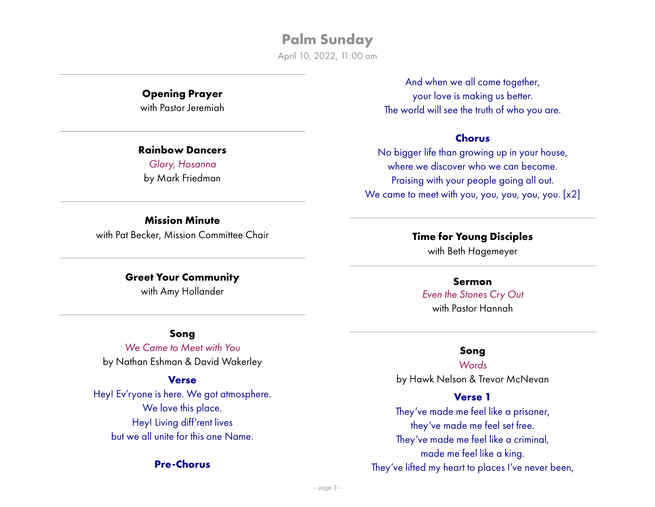April 10, 2022, 11:00 am

### **Opening Prayer**

with Pastor Jeremiah

### **Rainbow Dancers**

*Glory, Hosanna* by Mark Friedman

And when we all come together, your love is making us better. The world will see the truth of who you are.

### **Chorus**

No bigger life than growing up in your house, where we discover who we can become. Praising with your people going all out. We came to meet with you, you, you, you, you. [x2]

**Mission Minute** with Pat Becker, Mission Committee Chair

# **Greet Your Community**

with Amy Hollander

**Song**

*We Came to Meet with You* by Nathan Eshman & David Wakerley

### **Verse**

Hey! Ev'ryone is here. We got atmosphere. We love this place. Hey! Living diff'rent lives but we all unite for this one Name.

### **Pre-Chorus**

**Time for Young Disciples**

with Beth Hagemeyer

### **Sermon** *Even the Stones Cry Out*  with Pastor Hannah

# **Song**

*Words* by Hawk Nelson & Trevor McNevan

### **Verse 1**

They've made me feel like a prisoner, they've made me feel set free. They've made me feel like a criminal, made me feel like a king. They've lifted my heart to places I've never been,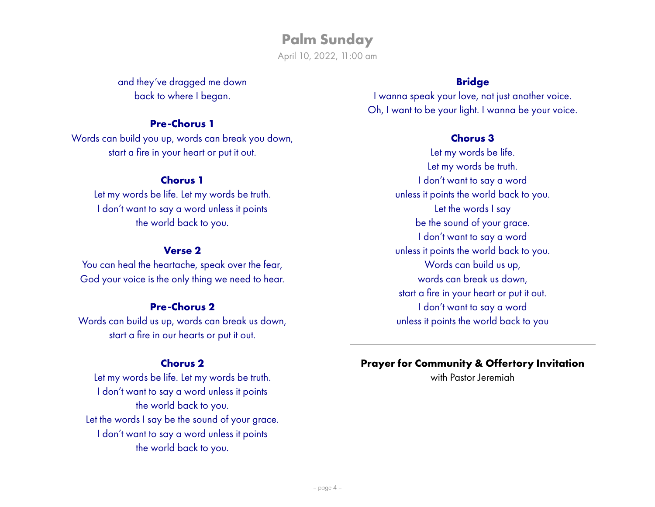April 10, 2022, 11:00 am

and they've dragged me down back to where I began.

## **Pre-Chorus 1**

Words can build you up, words can break you down, start a fire in your heart or put it out.

# **Chorus 1**

Let my words be life. Let my words be truth. I don't want to say a word unless it points the world back to you.

# **Verse 2**

You can heal the heartache, speak over the fear, God your voice is the only thing we need to hear.

# **Pre-Chorus 2**

Words can build us up, words can break us down, start a fire in our hearts or put it out.

# **Chorus 2**

Let my words be life. Let my words be truth. I don't want to say a word unless it points the world back to you. Let the words I say be the sound of your grace. I don't want to say a word unless it points the world back to you.

# **Bridge**

I wanna speak your love, not just another voice. Oh, I want to be your light. I wanna be your voice.

# **Chorus 3**

Let my words be life. Let my words be truth. I don't want to say a word unless it points the world back to you. Let the words I say be the sound of your grace. I don't want to say a word unless it points the world back to you. Words can build us up, words can break us down, start a fire in your heart or put it out. I don't want to say a word unless it points the world back to you

# **Prayer for Community & Offertory Invitation**

with Pastor Jeremiah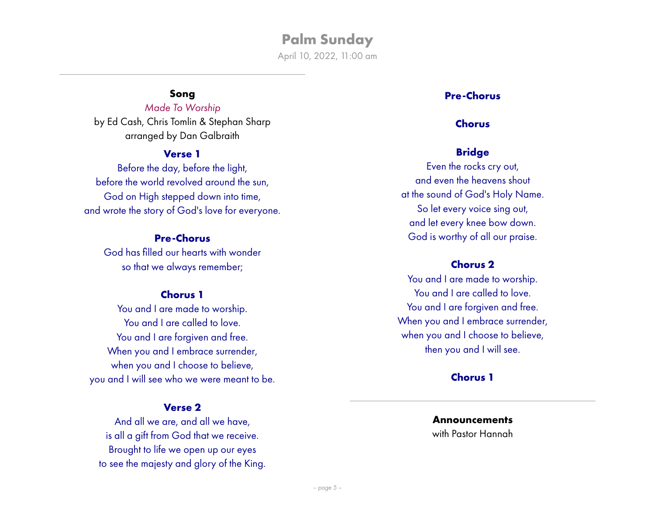April 10, 2022, 11:00 am

### **Song**

*Made To Worship* by Ed Cash, Chris Tomlin & Stephan Sharp arranged by Dan Galbraith

#### **Verse 1**

Before the day, before the light, before the world revolved around the sun, God on High stepped down into time, and wrote the story of God's love for everyone.

### **Pre-Chorus**

God has filled our hearts with wonder so that we always remember;

### **Chorus 1**

You and I are made to worship. You and I are called to love. You and I are forgiven and free. When you and I embrace surrender, when you and I choose to believe, you and I will see who we were meant to be.

### **Verse 2**

And all we are, and all we have, is all a gift from God that we receive. Brought to life we open up our eyes to see the majesty and glory of the King.

### **Pre-Chorus**

#### **Chorus**

### **Bridge**

Even the rocks cry out, and even the heavens shout at the sound of God's Holy Name. So let every voice sing out, and let every knee bow down. God is worthy of all our praise.

# **Chorus 2**

You and I are made to worship. You and I are called to love. You and I are forgiven and free. When you and I embrace surrender, when you and I choose to believe, then you and I will see.

### **Chorus 1**

### **Announcements** with Pastor Hannah